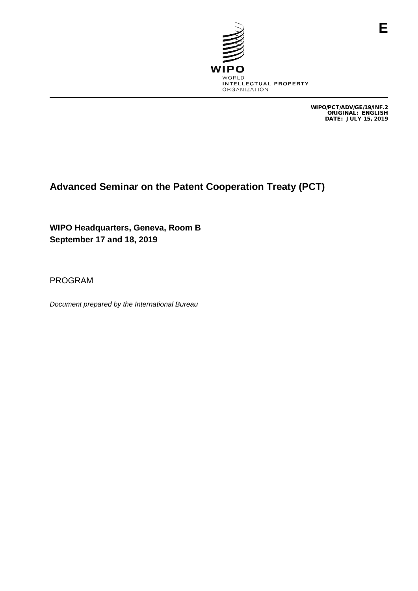

WIPO/PCT/ADV/GE/19/INF.2 ORIGINAL: ENGLISH DATE: JULY 15, 2019

## **Advanced Seminar on the Patent Cooperation Treaty (PCT)**

**WIPO Headquarters, Geneva, Room B September 17 and 18, 2019**

PROGRAM

*Document prepared by the International Bureau*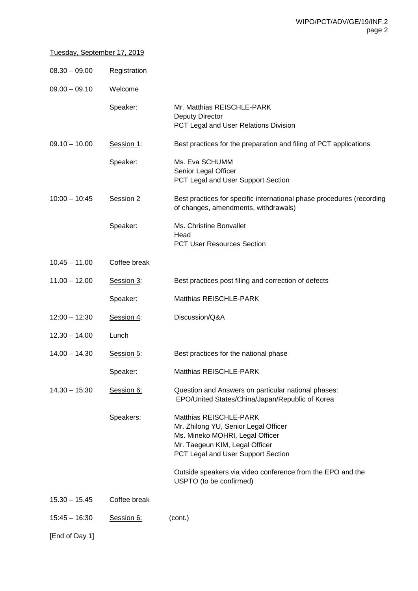## Tuesday, September 17, 2019

| $08.30 - 09.00$ | Registration |                                                                                                                                                                                                                                         |
|-----------------|--------------|-----------------------------------------------------------------------------------------------------------------------------------------------------------------------------------------------------------------------------------------|
| $09.00 - 09.10$ | Welcome      |                                                                                                                                                                                                                                         |
|                 | Speaker:     | Mr. Matthias REISCHLE-PARK<br><b>Deputy Director</b><br>PCT Legal and User Relations Division                                                                                                                                           |
| $09.10 - 10.00$ | Session 1:   | Best practices for the preparation and filing of PCT applications                                                                                                                                                                       |
|                 | Speaker:     | Ms. Eva SCHUMM<br>Senior Legal Officer<br>PCT Legal and User Support Section                                                                                                                                                            |
| $10:00 - 10:45$ | Session 2    | Best practices for specific international phase procedures (recording<br>of changes, amendments, withdrawals)                                                                                                                           |
|                 | Speaker:     | Ms. Christine Bonvallet<br>Head<br>PCT User Resources Section                                                                                                                                                                           |
| $10.45 - 11.00$ | Coffee break |                                                                                                                                                                                                                                         |
| $11.00 - 12.00$ | Session 3:   | Best practices post filing and correction of defects                                                                                                                                                                                    |
|                 | Speaker:     | Matthias REISCHLE-PARK                                                                                                                                                                                                                  |
| $12:00 - 12:30$ | Session 4:   | Discussion/Q&A                                                                                                                                                                                                                          |
| $12.30 - 14.00$ | Lunch        |                                                                                                                                                                                                                                         |
| $14.00 - 14.30$ | Session 5:   | Best practices for the national phase                                                                                                                                                                                                   |
|                 | Speaker:     | Matthias REISCHLE-PARK                                                                                                                                                                                                                  |
| $14.30 - 15:30$ | Session 6:   | Question and Answers on particular national phases:<br>EPO/United States/China/Japan/Republic of Korea                                                                                                                                  |
|                 | Speakers:    | Matthias REISCHLE-PARK<br>Mr. Zhilong YU, Senior Legal Officer<br>Ms. Mineko MOHRI, Legal Officer<br>Mr. Taegeun KIM, Legal Officer<br>PCT Legal and User Support Section<br>Outside speakers via video conference from the EPO and the |
| $15.30 - 15.45$ | Coffee break | USPTO (to be confirmed)                                                                                                                                                                                                                 |
|                 |              |                                                                                                                                                                                                                                         |

15:45 – 16:30 **Session 6:** (cont.)

[End of Day 1]